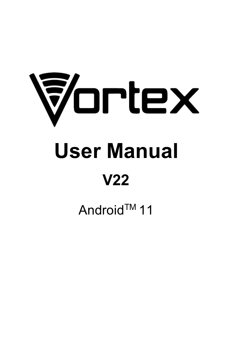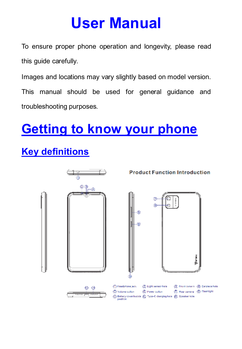# **User Manual**

To ensure proper phone operation and longevity, please read this quide carefully.

Images and locations may vary slightly based on model version.

This manual should be used for general guidance and troubleshooting purposes.

# **Getting to know your phone**

# **Key definitions**

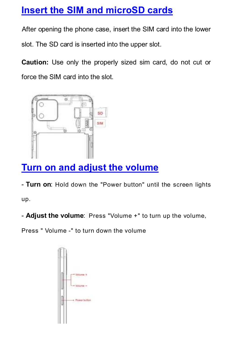## **Insert the SIM and microSD cards**

After opening the phone case, insert the SIM card into the lower

slot. The SD card is inserted into the upper slot.

**Caution:** Use only the properly sized sim card, do not cut or force the SIM card into the slot.



# **Turn on and adjust the volume**

- **Turn on**: Hold down the "Power button" until the screen lights up.

- **Adjust the volume**: Press "Volume +" to turn up the volume,

Press " Volume -" to turn down the volume

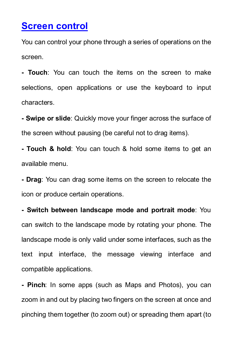## **Screen control**

You can control your phone through a series of operations on the screen.

**- Touch**: You can touch the items on the screen to make selections, open applications or use the keyboard to input characters.

**- Swipe or slide**: Quickly move your finger across the surface of the screen without pausing (be careful not to drag items).

**- Touch & hold**: You can touch & hold some items to get an available menu.

**- Drag**: You can drag some items on the screen to relocate the icon or produce certain operations.

**- Switch between landscape mode and portrait mode**: You can switch to the landscape mode by rotating your phone. The landscape mode is only valid under some interfaces, such as the text input interface, the message viewing interface and compatible applications.

**- Pinch**: In some apps (such as Maps and Photos), you can zoom in and out by placing two fingers on the screen at once and pinching them together (to zoom out) or spreading them apart (to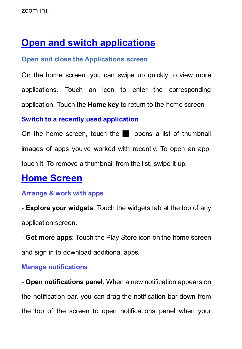zoom in).

## **Open and switch applications**

#### **Open and close the Applications screen**

On the home screen, you can swipe up quickly to view more applications. Touch an icon to enter the corresponding application. Touch the **Home key** to return to the home screen.

#### **Switch to a recently used application**

On the home screen, touch the █, opens a list of thumbnail images of apps you've worked with recently. To open an app, touch it. To remove a thumbnail from the list, swipe it up.

## **Home Screen**

#### **Arrange & work with apps**

- **Explore your widgets**: Touch the widgets tab at the top of any application screen.

- **Get more apps**: Touch the Play Store icon on the home screen and sign in to download additional apps.

#### **Manage notifications**

- **Open notifications panel**: When a new notification appears on the notification bar, you can drag the notification bar down from the top of the screen to open notifications panel when your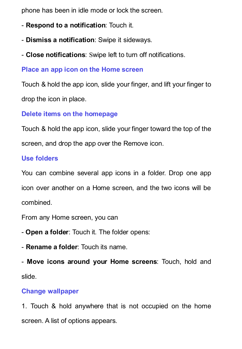phone has been in idle mode or lock the screen.

- **Respond to a notification**: Touch it.
- **Dismiss a notification**: Swipe it sideways.
- **Close notifications**: Swipe left to turn off notifications.

#### **Place an app icon on the Home screen**

Touch & hold the app icon, slide your finger, and lift your finger to drop the icon in place.

**Delete items on the homepage**

Touch & hold the app icon, slide your finger toward the top of the screen, and drop the app over the Remove icon.

### **Use folders**

You can combine several app icons in a folder. Drop one app icon over another on a Home screen, and the two icons will be combined.

From any Home screen, you can

- **Open a folder**: Touch it. The folder opens:
- **Rename a folder**: Touch its name.

- **Move icons around your Home screens**: Touch, hold and slide.

### **Change wallpaper**

1. Touch & hold anywhere that is not occupied on the home screen. A list of options appears.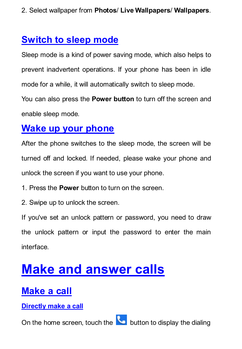2. Select wallpaper from **Photos**/ **Live Wallpapers**/ **Wallpapers**.

## **Switch to sleep mode**

Sleep mode is a kind of power saving mode, which also helps to prevent inadvertent operations. If your phone has been in idle mode for a while, it will automatically switch to sleep mode.

You can also press the **Power button** to turn off the screen and enable sleep mode.

## **Wake up your phone**

After the phone switches to the sleep mode, the screen will be turned off and locked. If needed, please wake your phone and unlock the screen if you want to use your phone.

- 1. Press the **Power** button to turn on the screen.
- 2. Swipe up to unlock the screen.

If you've set an unlock pattern or password, you need to draw the unlock pattern or input the password to enter the main interface.

# **Make and answer calls**

## **Make a call**

**Directly make a call**

On the home screen, touch the **button to display the dialing**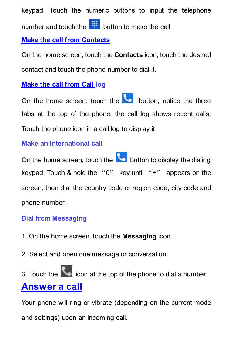keypad. Touch the numeric buttons to input the telephone number and touch the  $\frac{1}{2}$  button to make the call.

### **Make the call from Contacts**

On the home screen, touch the **Contacts** icon, touch the desired contact and touch the phone number to dial it.

## **Make the call from Call log**

On the home screen, touch the **button** notice the three tabs at the top of the phone. the call log shows recent calls. Touch the phone icon in a call log to display it.

## **Make an international call**

On the home screen, touch the **button to display the dialing** keypad. Touch & hold the "0" key until "+" appears on the screen, then dial the country code or region code, city code and phone number.

## **Dial from Messaging**

- 1. On the home screen, touch the **Messaging** icon.
- 2. Select and open one message or conversation.

3. Touch the  $\left\langle \right\rangle$  icon at the top of the phone to dial a number. **Answer a call**

Your phone will ring or vibrate (depending on the current mode and settings) upon an incoming call.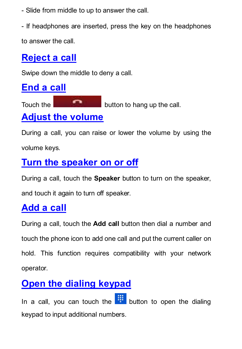- Slide from middle to up to answer the call.

- If headphones are inserted, press the key on the headphones

to answer the call.

# **Reject a call**

Swipe down the middle to deny a call.

# **End a call**

Touch the **button** to hang up the call.

## **Adjust the volume**

During a call, you can raise or lower the volume by using the volume keys.

# **Turn the speaker on or off**

During a call, touch the **Speaker** button to turn on the speaker,

and touch it again to turn off speaker.

# **Add a call**

During a call, touch the **Add call** button then dial a number and touch the phone icon to add one call and put the current caller on hold. This function requires compatibility with your network operator.

# **Open the dialing keypad**

In a call, you can touch the  $\frac{1}{2}$  button to open the dialing keypad to input additional numbers.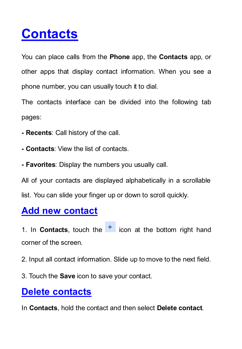# **Contacts**

You can place calls from the **Phone** app, the **Contacts** app, or other apps that display contact information. When you see a phone number, you can usually touch it to dial.

The contacts interface can be divided into the following tab pages:

- **Recents**: Call history of the call.
- **Contacts**: View the list of contacts.
- **Favorites**: Display the numbers you usually call.

All of your contacts are displayed alphabetically in a scrollable list. You can slide your finger up or down to scroll quickly.

## **Add new contact**

1. In **Contacts**, touch the  $\frac{1}{1}$  icon at the bottom right hand corner of the screen.

2. Input all contact information. Slide up to move to the next field.

3. Touch the **Save** icon to save your contact.

## **Delete contacts**

In **Contacts**, hold the contact and then select **Delete contact**.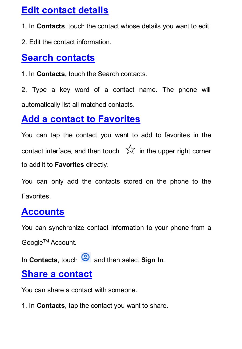## **Edit contact details**

1. In **Contacts**, touch the contact whose details you want to edit.

2. Edit the contact information.

## **Search contacts**

1. In **Contacts**, touch the Search contacts.

2. Type a key word of a contact name. The phone will automatically list all matched contacts.

## **Add a contact to Favorites**

You can tap the contact you want to add to favorites in the contact interface, and then touch  $\overrightarrow{2}$  in the upper right corner to add it to **Favorites** directly.

You can only add the contacts stored on the phone to the **Favorites** 

# **Accounts**

You can synchronize contact information to your phone from a GoogleTM Account.

In **Contacts**, touch **a** and then select **Sign In**.

## **Share a contact**

You can share a contact with someone.

1. In **Contacts**, tap the contact you want to share.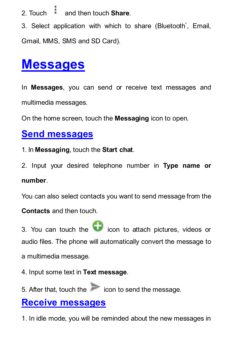2. Touch and then touch **Share**.

3. Select application with which to share (Bluetooth<sup>®</sup>, Email, Gmail, MMS, SMS and SD Card).

# **Messages**

In **Messages**, you can send or receive text messages and multimedia messages.

On the home screen, touch the **Messaging** icon to open.

## **Send messages**

- 1. In **Messaging**, touch the **Start chat**.
- 2. Input your desired telephone number in **Type name or number**.

You can also select contacts you want to send message from the

**Contacts** and then touch.

 $3.$  You can touch the  $\bigcirc$  icon to attach pictures, videos or audio files. The phone will automatically convert the message to a multimedia message.

- 4. Input some text in **Text message**.
- 5. After that, touch the icon to send the message.

## **Receive messages**

1. In idle mode, you will be reminded about the new messages in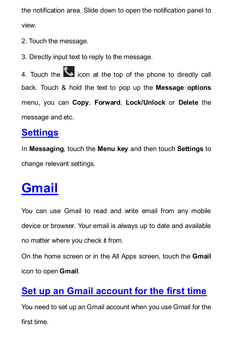the notification area. Slide down to open the notification panel to view.

- 2. Touch the message.
- 3. Directly input text to reply to the message.

4. Touch the **interest in a** icon at the top of the phone to directly call back. Touch & hold the text to pop up the **Message options** menu, you can **Copy**, **Forward**, **Lock/Unlock** or **Delete** the message and etc.

## **Settings**

In **Messaging**, touch the **Menu key** and then touch **Settings** to change relevant settings.

# **Gmail**

You can use Gmail to read and write email from any mobile device or browser. Your email is always up to date and available no matter where you check it from.

On the home screen or in the All Apps screen, touch the **Gmail** icon to open **Gmail**.

# **Set up an Gmail account for the first time**

You need to set up an Gmail account when you use Gmail for the first time.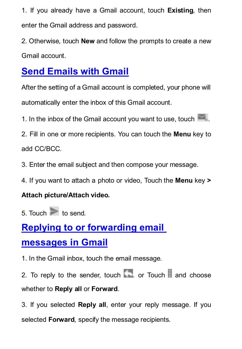1. If you already have a Gmail account, touch **Existing**, then enter the Gmail address and password.

2. Otherwise, touch **New** and follow the prompts to create a new Gmail account.

# **Send Emails with Gmail**

After the setting of a Gmail account is completed, your phone will automatically enter the inbox of this Gmail account.

1. In the inbox of the Gmail account you want to use, touch

2. Fill in one or more recipients. You can touch the **Menu** key to add CC/BCC.

3. Enter the email subject and then compose your message.

4. If you want to attach a photo or video, Touch the **Menu** key **>** 

### **Attach picture/Attach video.**

 $5.$  Touch  $\geq$  to send.

# **Replying to or forwarding email**

## **messages in Gmail**

1. In the Gmail inbox, touch the email message.

2. To reply to the sender, touch  $\Box$  or Touch  $\Box$  and choose whether to **Reply all** or **Forward**.

3. If you selected **Reply all**, enter your reply message. If you selected **Forward**, specify the message recipients.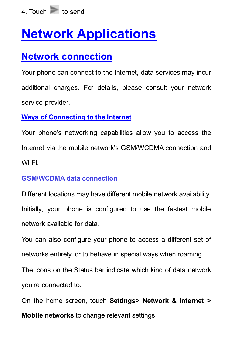

# **Network Applications**

## **Network connection**

Your phone can connect to the Internet, data services may incur additional charges. For details, please consult your network service provider.

#### **Ways of Connecting to the Internet**

Your phone's networking capabilities allow you to access the Internet via the mobile network's GSM/WCDMA connection and Wi-Fi.

#### **GSM/WCDMA data connection**

Different locations may have different mobile network availability. Initially, your phone is configured to use the fastest mobile network available for data.

You can also configure your phone to access a different set of networks entirely, or to behave in special ways when roaming.

The icons on the Status bar indicate which kind of data network you're connected to.

On the home screen, touch **Settings> Network & internet > Mobile networks** to change relevant settings.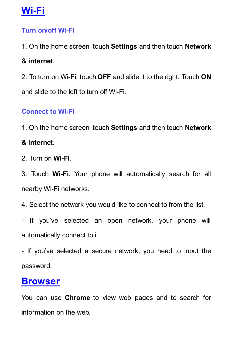## **Wi-Fi**

### **Turn on/off Wi-Fi**

1. On the home screen, touch **Settings** and then touch **Network**

## **& internet**.

2. To turn on Wi-Fi, touch **OFF** and slide it to the right. Touch **ON** and slide to the left to turn off Wi-Fi.

## **Connect to Wi-Fi**

1. On the home screen, touch **Settings** and then touch **Network**

## **& internet**.

2. Turn on **Wi-Fi**.

3. Touch **Wi-Fi**. Your phone will automatically search for all nearby Wi-Fi networks.

4. Select the network you would like to connect to from the list.

- If you've selected an open network, your phone will automatically connect to it.

- If you've selected a secure network, you need to input the password.

## **Browser**

You can use **Chrome** to view web pages and to search for information on the web.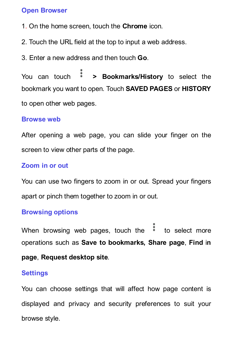#### **Open Browser**

- 1. On the home screen, touch the **Chrome** icon.
- 2. Touch the URL field at the top to input a web address.
- 3. Enter a new address and then touch **Go**.

You can touch **> Bookmarks/History** to select the bookmark you want to open. Touch **SAVED PAGES** or **HISTORY** to open other web pages.

#### **Browse web**

After opening a web page, you can slide your finger on the screen to view other parts of the page.

#### **Zoom in or out**

You can use two fingers to zoom in or out. Spread your fingers apart or pinch them together to zoom in or out.

#### **Browsing options**

When browsing web pages, touch the  $\frac{1}{2}$  to select more operations such as **Save to bookmarks, Share page**, **Find** i**n** 

### **page**, **Request desktop site**.

#### **Settings**

You can choose settings that will affect how page content is displayed and privacy and security preferences to suit your browse style.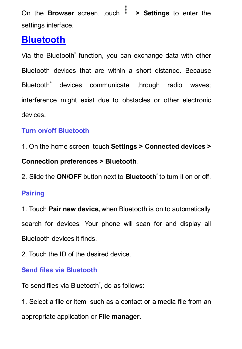On the **Browser** screen, touch **> Settings** to enter the settings interface.

## **Bluetooth**

Via the Bluetooth® function, you can exchange data with other Bluetooth devices that are within a short distance. Because Bluetooth® devices communicate through radio waves; interference might exist due to obstacles or other electronic devices.

## **Turn on/off Bluetooth**

1. On the home screen, touch **Settings > Connected devices > Connection preferences > Bluetooth**.

2. Slide the **ON/OFF** button next to **Bluetooth**® to turn it on or off.

### **Pairing**

1. Touch **Pair new device,** when Bluetooth is on to automatically search for devices. Your phone will scan for and display all Bluetooth devices it finds.

2. Touch the ID of the desired device.

### **Send files via Bluetooth**

To send files via Bluetooth<sup>®</sup>, do as follows:

1. Select a file or item, such as a contact or a media file from an appropriate application or **File manager**.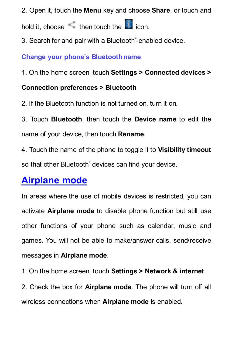2. Open it, touch the **Menu** key and choose **Share**, or touch and

hold it, choose then touch the icon.

3. Search for and pair with a Bluetooth®-enabled device.

#### **Change your phone's Bluetoothname**

1. On the home screen, touch **Settings > Connected devices >** 

### **Connection preferences > Bluetooth**

2. If the Bluetooth function is not turned on, turn it on.

3. Touch **Bluetooth**, then touch the **Device name** to edit the name of your device, then touch **Rename**.

4. Touch the name of the phone to toggle it to **Visibility timeout** so that other Bluetooth<sup>®</sup> devices can find your device.

## **Airplane mode**

In areas where the use of mobile devices is restricted, you can activate **Airplane mode** to disable phone function but still use other functions of your phone such as calendar, music and games. You will not be able to make/answer calls, send/receive messages in **Airplane mode**.

1. On the home screen, touch **Settings > Network & internet**.

2. Check the box for **Airplane mode**. The phone will turn off all wireless connections when **Airplane mode** is enabled.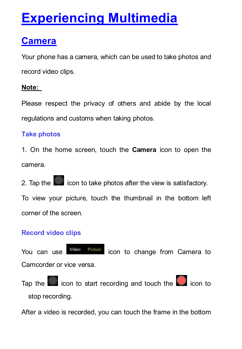# **Experiencing Multimedia**

## **Camera**

Your phone has a camera, which can be used to take photos and record video clips.

### **Note:**

Please respect the privacy of others and abide by the local regulations and customs when taking photos.

## **Take photos**

1. On the home screen, touch the **Camera** icon to open the camera.

2. Tap the **interest in the interpretation** of take photos after the view is satisfactory.

To view your picture, touch the thumbnail in the bottom left corner of the screen.

## **Record video clips**

You can use **Wideo** Picture icon to change from Camera to Camcorder or vice versa.

Tap the  $\Box$  icon to start recording and touch the  $\Box$  icon to stop recording.

After a video is recorded, you can touch the frame in the bottom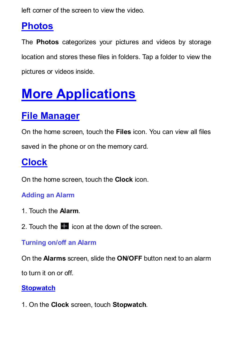left corner of the screen to view the video.

## **Photos**

The **Photos** categorizes your pictures and videos by storage location and stores these files in folders. Tap a folder to view the pictures or videos inside.

# **More Applications**

# **File Manager**

On the home screen, touch the **Files** icon. You can view all files saved in the phone or on the memory card.

# **Clock**

On the home screen, touch the **Clock** icon.

## **Adding an Alarm**

- 1. Touch the **Alarm**.
- 2. Touch the **ight** icon at the down of the screen.

## **Turning on/off an Alarm**

On the **Alarms** screen, slide the **ON/OFF** button next to an alarm

to turn it on or off.

## **Stopwatch**

1. On the **Clock** screen, touch **Stopwatch**.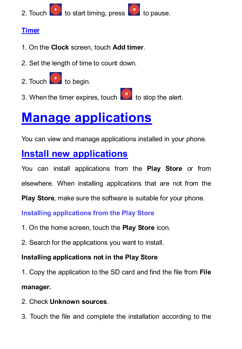

#### **Timer**

- 1. On the **Clock** screen, touch **Add timer**.
- 2. Set the length of time to count down.
- 2. Touch to begin.
- 3. When the timer expires, touch  $\left| \begin{array}{cc} 0 \end{array} \right|$  to stop the alert.

# **Manage applications**

You can view and manage applications installed in your phone.

# **Install new applications**

You can install applications from the **Play Store** or from

elsewhere. When installing applications that are not from the

**Play Store**, make sure the software is suitable for your phone.

**Installing applications from the Play Store**

- 1. On the home screen, touch the **Play Store** icon.
- 2. Search for the applications you want to install.

## **Installing applications not in the Play Store**

1. Copy the application to the SD card and find the file from **File** 

### **manager.**

- 2. Check **Unknown sources**.
- 3. Touch the file and complete the installation according to the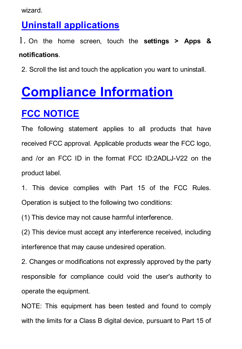wizard.

## **Uninstall applications**

1. On the home screen, touch the **settings > Apps & notifications**.

2. Scroll the list and touch the application you want to uninstall.

# **Compliance Information**

# **FCC NOTICE**

The following statement applies to all products that have received FCC approval. Applicable products wear the FCC logo, and /or an FCC ID in the format FCC ID:2ADLJ-V22 on the product label.

1. This device complies with Part 15 of the FCC Rules. Operation is subject to the following two conditions:

(1) This device may not cause harmful interference.

(2) This device must accept any interference received, including interference that may cause undesired operation.

2. Changes or modifications not expressly approved by the party responsible for compliance could void the user's authority to operate the equipment.

NOTE: This equipment has been tested and found to comply with the limits for a Class B digital device, pursuant to Part 15 of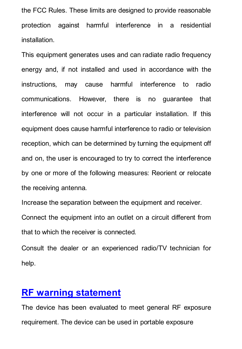the FCC Rules. These limits are designed to provide reasonable protection against harmful interference in a residential installation.

This equipment generates uses and can radiate radio frequency energy and, if not installed and used in accordance with the instructions, may cause harmful interference to radio communications. However, there is no guarantee that interference will not occur in a particular installation. If this equipment does cause harmful interference to radio or television reception, which can be determined by turning the equipment off and on, the user is encouraged to try to correct the interference by one or more of the following measures: Reorient or relocate the receiving antenna.

Increase the separation between the equipment and receiver.

Connect the equipment into an outlet on a circuit different from that to which the receiver is connected.

Consult the dealer or an experienced radio/TV technician for help.

## **RF warning statement**

The device has been evaluated to meet general RF exposure requirement. The device can be used in portable exposure